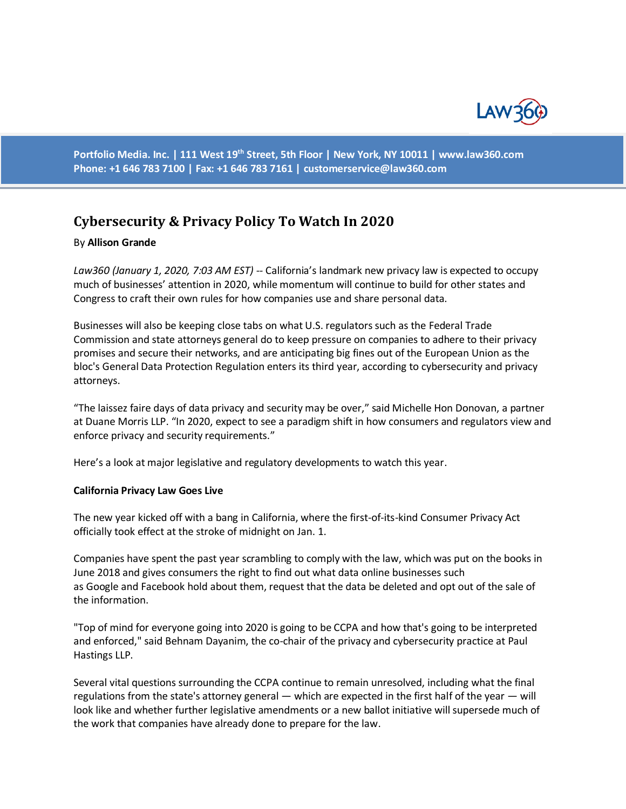

**Portfolio Media. Inc. | 111 West 19th Street, 5th Floor | New York, NY 10011 | www.law360.com Phone: +1 646 783 7100 | Fax: +1 646 783 7161 | [customerservice@law360.com](mailto:customerservice@law360.com)**

# **Cybersecurity & Privacy Policy To Watch In 2020**

#### By **Allison Grande**

*Law360 (January 1, 2020, 7:03 AM EST) --* California's landmark new privacy law is expected to occupy much of businesses' attention in 2020, while momentum will continue to build for other states and Congress to craft their own rules for how companies use and share personal data.

Businesses will also be keeping close tabs on what U.S. regulators such as the Federal Trade Commission and state attorneys general do to keep pressure on companies to adhere to their privacy promises and secure their networks, and are anticipating big fines out of the European Union as the bloc's General Data Protection Regulation enters its third year, according to cybersecurity and privacy attorneys.

"The laissez faire days of data privacy and security may be over," said Michelle Hon Donovan, a partner at Duane Morris LLP. "In 2020, expect to see a paradigm shift in how consumers and regulators view and enforce privacy and security requirements."

Here's a look at major legislative and regulatory developments to watch this year.

#### **California Privacy Law Goes Live**

The new year kicked off with a bang in California, where the first-of-its-kind Consumer Privacy Act officially took effect at the stroke of midnight on Jan. 1.

Companies have spent the past year scrambling to comply with the law, which was put on the books in June 2018 and gives consumers the right to find out what data online businesses such as Google and Facebook hold about them, request that the data be deleted and opt out of the sale of the information.

"Top of mind for everyone going into 2020 is going to be CCPA and how that's going to be interpreted and enforced," said Behnam Dayanim, the co-chair of the privacy and cybersecurity practice at Paul Hastings LLP.

Several vital questions surrounding the CCPA continue to remain unresolved, including what the final regulations from the state's attorney general — which are expected in the first half of the year — will look like and whether further legislative amendments or a new ballot initiative will supersede much of the work that companies have already done to prepare for the law.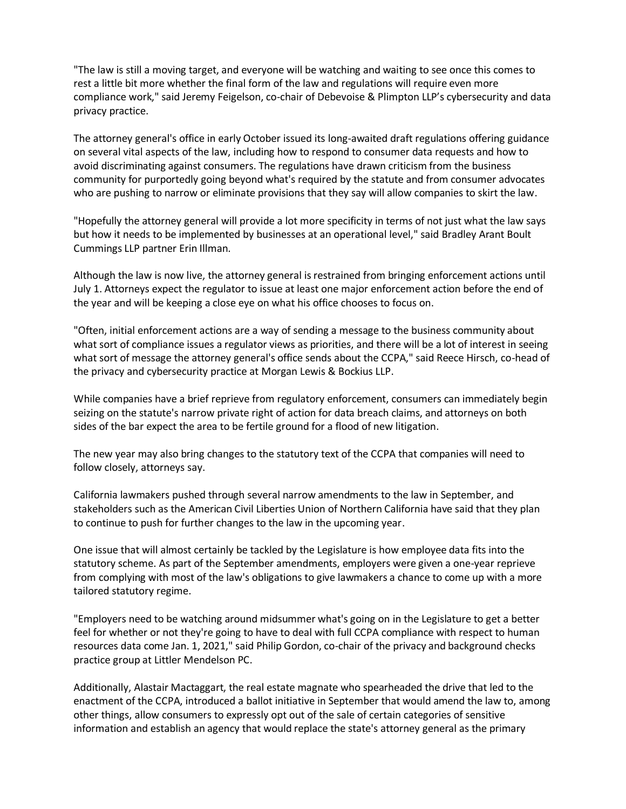"The law is still a moving target, and everyone will be watching and waiting to see once this comes to rest a little bit more whether the final form of the law and regulations will require even more compliance work," said Jeremy Feigelson, co-chair of Debevoise & Plimpton LLP's cybersecurity and data privacy practice.

The attorney general's office in early October issued its long-awaited draft regulations offering guidance on several vital aspects of the law, including how to respond to consumer data requests and how to avoid discriminating against consumers. The regulations have drawn criticism from the business community for purportedly going beyond what's required by the statute and from consumer advocates who are pushing to narrow or eliminate provisions that they say will allow companies to skirt the law.

"Hopefully the attorney general will provide a lot more specificity in terms of not just what the law says but how it needs to be implemented by businesses at an operational level," said Bradley Arant Boult Cummings LLP partner Erin Illman.

Although the law is now live, the attorney general is restrained from bringing enforcement actions until July 1. Attorneys expect the regulator to issue at least one major enforcement action before the end of the year and will be keeping a close eye on what his office chooses to focus on.

"Often, initial enforcement actions are a way of sending a message to the business community about what sort of compliance issues a regulator views as priorities, and there will be a lot of interest in seeing what sort of message the attorney general's office sends about the CCPA," said Reece Hirsch, co-head of the privacy and cybersecurity practice at Morgan Lewis & Bockius LLP.

While companies have a brief reprieve from regulatory enforcement, consumers can immediately begin seizing on the statute's narrow private right of action for data breach claims, and attorneys on both sides of the bar expect the area to be fertile ground for a flood of new litigation.

The new year may also bring changes to the statutory text of the CCPA that companies will need to follow closely, attorneys say.

California lawmakers pushed through several narrow amendments to the law in September, and stakeholders such as the American Civil Liberties Union of Northern California have said that they plan to continue to push for further changes to the law in the upcoming year.

One issue that will almost certainly be tackled by the Legislature is how employee data fits into the statutory scheme. As part of the September amendments, employers were given a one-year reprieve from complying with most of the law's obligations to give lawmakers a chance to come up with a more tailored statutory regime.

"Employers need to be watching around midsummer what's going on in the Legislature to get a better feel for whether or not they're going to have to deal with full CCPA compliance with respect to human resources data come Jan. 1, 2021," said Philip Gordon, co-chair of the privacy and background checks practice group at Littler Mendelson PC.

Additionally, Alastair Mactaggart, the real estate magnate who spearheaded the drive that led to the enactment of the CCPA, introduced a ballot initiative in September that would amend the law to, among other things, allow consumers to expressly opt out of the sale of certain categories of sensitive information and establish an agency that would replace the state's attorney general as the primary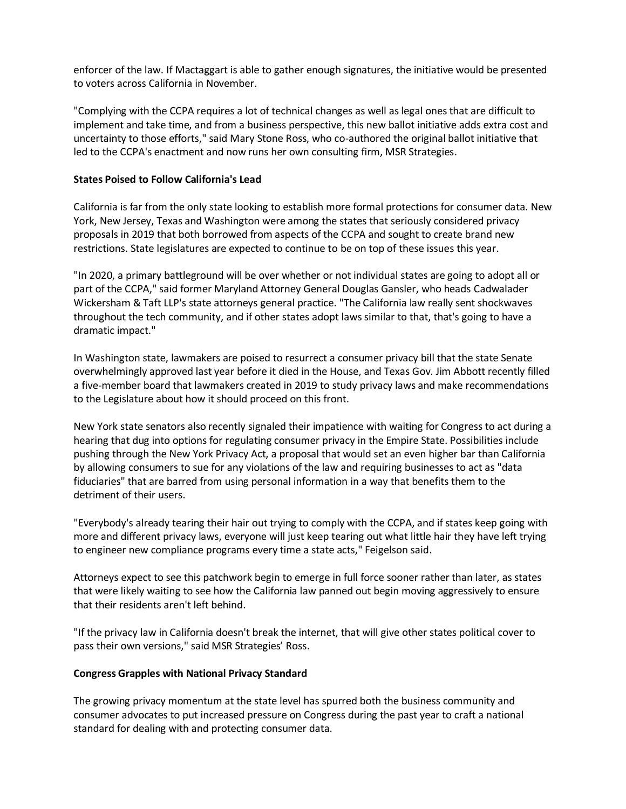enforcer of the law. If Mactaggart is able to gather enough signatures, the initiative would be presented to voters across California in November.

"Complying with the CCPA requires a lot of technical changes as well as legal ones that are difficult to implement and take time, and from a business perspective, this new ballot initiative adds extra cost and uncertainty to those efforts," said Mary Stone Ross, who co-authored the original ballot initiative that led to the CCPA's enactment and now runs her own consulting firm, MSR Strategies.

## **States Poised to Follow California's Lead**

California is far from the only state looking to establish more formal protections for consumer data. New York, New Jersey, Texas and Washington were among the states that seriously considered privacy proposals in 2019 that both borrowed from aspects of the CCPA and sought to create brand new restrictions. State legislatures are expected to continue to be on top of these issues this year.

"In 2020, a primary battleground will be over whether or not individual states are going to adopt all or part of the CCPA," said former Maryland Attorney General Douglas Gansler, who heads Cadwalader Wickersham & Taft LLP's state attorneys general practice. "The California law really sent shockwaves throughout the tech community, and if other states adopt laws similar to that, that's going to have a dramatic impact."

In Washington state, lawmakers are poised to resurrect a consumer privacy bill that the state Senate overwhelmingly approved last year before it died in the House, and Texas Gov. Jim Abbott recently filled a five-member board that lawmakers created in 2019 to study privacy laws and make recommendations to the Legislature about how it should proceed on this front.

New York state senators also recently signaled their impatience with waiting for Congress to act during a hearing that dug into options for regulating consumer privacy in the Empire State. Possibilities include pushing through the New York Privacy Act, a proposal that would set an even higher bar than California by allowing consumers to sue for any violations of the law and requiring businesses to act as "data fiduciaries" that are barred from using personal information in a way that benefits them to the detriment of their users.

"Everybody's already tearing their hair out trying to comply with the CCPA, and if states keep going with more and different privacy laws, everyone will just keep tearing out what little hair they have left trying to engineer new compliance programs every time a state acts," Feigelson said.

Attorneys expect to see this patchwork begin to emerge in full force sooner rather than later, as states that were likely waiting to see how the California law panned out begin moving aggressively to ensure that their residents aren't left behind.

"If the privacy law in California doesn't break the internet, that will give other states political cover to pass their own versions," said MSR Strategies' Ross.

#### **Congress Grapples with National Privacy Standard**

The growing privacy momentum at the state level has spurred both the business community and consumer advocates to put increased pressure on Congress during the past year to craft a national standard for dealing with and protecting consumer data.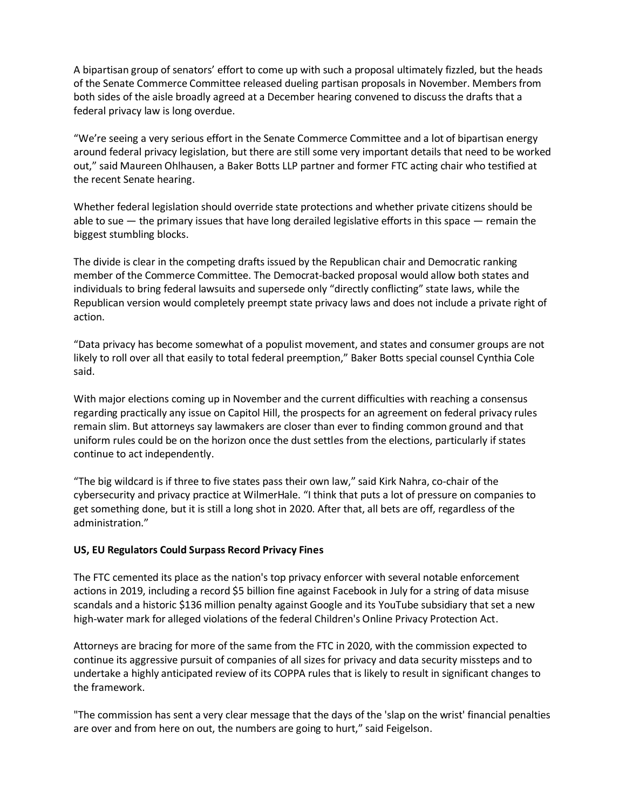A bipartisan group of senators' effort to come up with such a proposal ultimately fizzled, but the heads of the Senate Commerce Committee released dueling partisan proposals in November. Members from both sides of the aisle broadly agreed at a December hearing convened to discuss the drafts that a federal privacy law is long overdue.

"We're seeing a very serious effort in the Senate Commerce Committee and a lot of bipartisan energy around federal privacy legislation, but there are still some very important details that need to be worked out," said Maureen Ohlhausen, a Baker Botts LLP partner and former FTC acting chair who testified at the recent Senate hearing.

Whether federal legislation should override state protections and whether private citizens should be able to sue — the primary issues that have long derailed legislative efforts in this space — remain the biggest stumbling blocks.

The divide is clear in the competing drafts issued by the Republican chair and Democratic ranking member of the Commerce Committee. The Democrat-backed proposal would allow both states and individuals to bring federal lawsuits and supersede only "directly conflicting" state laws, while the Republican version would completely preempt state privacy laws and does not include a private right of action.

"Data privacy has become somewhat of a populist movement, and states and consumer groups are not likely to roll over all that easily to total federal preemption," Baker Botts special counsel Cynthia Cole said.

With major elections coming up in November and the current difficulties with reaching a consensus regarding practically any issue on Capitol Hill, the prospects for an agreement on federal privacy rules remain slim. But attorneys say lawmakers are closer than ever to finding common ground and that uniform rules could be on the horizon once the dust settles from the elections, particularly if states continue to act independently.

"The big wildcard is if three to five states pass their own law," said Kirk Nahra, co-chair of the cybersecurity and privacy practice at WilmerHale. "I think that puts a lot of pressure on companies to get something done, but it is still a long shot in 2020. After that, all bets are off, regardless of the administration."

## **US, EU Regulators Could Surpass Record Privacy Fines**

The FTC cemented its place as the nation's top privacy enforcer with several notable enforcement actions in 2019, including a record \$5 billion fine against Facebook in July for a string of data misuse scandals and a historic \$136 million penalty against Google and its YouTube subsidiary that set a new high-water mark for alleged violations of the federal Children's Online Privacy Protection Act.

Attorneys are bracing for more of the same from the FTC in 2020, with the commission expected to continue its aggressive pursuit of companies of all sizes for privacy and data security missteps and to undertake a highly anticipated review of its COPPA rules that is likely to result in significant changes to the framework.

"The commission has sent a very clear message that the days of the 'slap on the wrist' financial penalties are over and from here on out, the numbers are going to hurt," said Feigelson.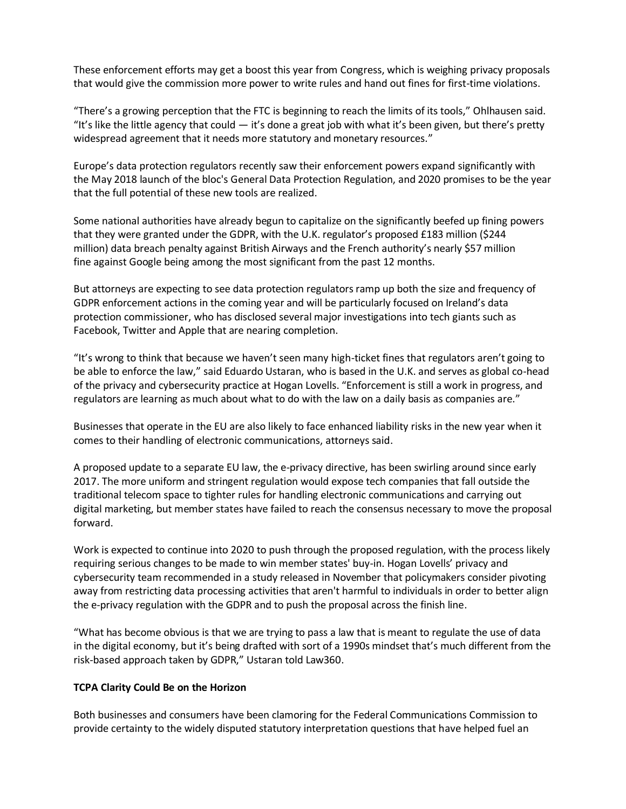These enforcement efforts may get a boost this year from Congress, which is weighing privacy proposals that would give the commission more power to write rules and hand out fines for first-time violations.

"There's a growing perception that the FTC is beginning to reach the limits of its tools," Ohlhausen said. "It's like the little agency that could  $-$  it's done a great job with what it's been given, but there's pretty widespread agreement that it needs more statutory and monetary resources."

Europe's data protection regulators recently saw their enforcement powers expand significantly with the May 2018 launch of the bloc's General Data Protection Regulation, and 2020 promises to be the year that the full potential of these new tools are realized.

Some national authorities have already begun to capitalize on the significantly beefed up fining powers that they were granted under the GDPR, with the U.K. regulator's proposed £183 million (\$244 million) data breach penalty against British Airways and the French authority's nearly \$57 million fine against Google being among the most significant from the past 12 months.

But attorneys are expecting to see data protection regulators ramp up both the size and frequency of GDPR enforcement actions in the coming year and will be particularly focused on Ireland's data protection commissioner, who has disclosed several major investigations into tech giants such as Facebook, Twitter and Apple that are nearing completion.

"It's wrong to think that because we haven't seen many high-ticket fines that regulators aren't going to be able to enforce the law," said Eduardo Ustaran, who is based in the U.K. and serves as global co-head of the privacy and cybersecurity practice at Hogan Lovells. "Enforcement is still a work in progress, and regulators are learning as much about what to do with the law on a daily basis as companies are."

Businesses that operate in the EU are also likely to face enhanced liability risks in the new year when it comes to their handling of electronic communications, attorneys said.

A proposed update to a separate EU law, the e-privacy directive, has been swirling around since early 2017. The more uniform and stringent regulation would expose tech companies that fall outside the traditional telecom space to tighter rules for handling electronic communications and carrying out digital marketing, but member states have failed to reach the consensus necessary to move the proposal forward.

Work is expected to continue into 2020 to push through the proposed regulation, with the process likely requiring serious changes to be made to win member states' buy-in. Hogan Lovells' privacy and cybersecurity team recommended in a study released in November that policymakers consider pivoting away from restricting data processing activities that aren't harmful to individuals in order to better align the e-privacy regulation with the GDPR and to push the proposal across the finish line.

"What has become obvious is that we are trying to pass a law that is meant to regulate the use of data in the digital economy, but it's being drafted with sort of a 1990s mindset that's much different from the risk-based approach taken by GDPR," Ustaran told Law360.

## **TCPA Clarity Could Be on the Horizon**

Both businesses and consumers have been clamoring for the Federal Communications Commission to provide certainty to the widely disputed statutory interpretation questions that have helped fuel an